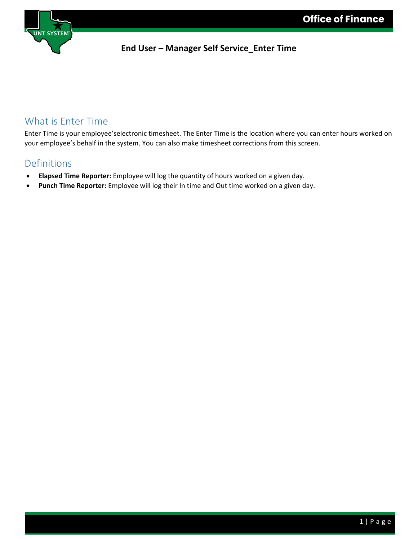

### What is Enter Time

Enter Time is your employee'selectronic timesheet. The Enter Time is the location where you can enter hours worked on your employee's behalf in the system. You can also make timesheet corrections from this screen.

### Definitions

- **Elapsed Time Reporter:** Employee will log the quantity of hours worked on a given day.
- **Punch Time Reporter:** Employee will log their In time and Out time worked on a given day.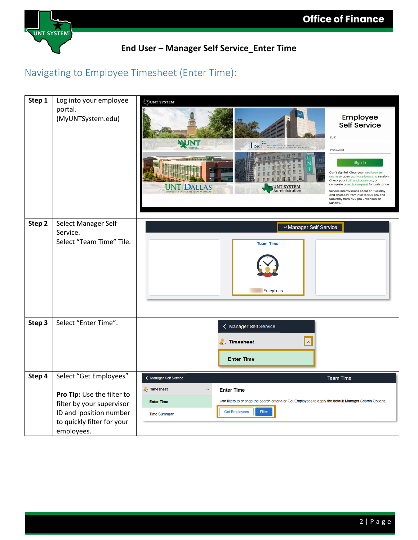

# Navigating to Employee Timesheet (Enter Time):

| Step 1 | Log into your employee                   | JUNT SYSTEM                                                                                                                                                                                                                                                                                                                                                                                                                                                                                                                                  |
|--------|------------------------------------------|----------------------------------------------------------------------------------------------------------------------------------------------------------------------------------------------------------------------------------------------------------------------------------------------------------------------------------------------------------------------------------------------------------------------------------------------------------------------------------------------------------------------------------------------|
|        | portal.<br>(MyUNTSystem.edu)             | Employee<br>Self Service<br><b>EUID</b><br>WNT<br>THE UNIVERSITY of NORTH TEXAS WORTH TO THE ALTH SCIENCE CENTER of FORT WORTH<br>Password<br>et ne fr ne<br>Sign in<br>Can't sign in? Clear your web browse<br>cache or open a private browsing session.<br>Check your EUID and password, or<br>complete a service request for assistance.<br><b>JNT SYSTEM</b><br><b>UNT DALLAS</b><br>Administration<br>Service intermissions occur on Tuesday<br>and Thursday from 7:00 to 9:30 pm and<br>Saturday from 7:00 pm until noon on<br>Sunday. |
| Step 2 | Select Manager Self                      | v Manager Self Service                                                                                                                                                                                                                                                                                                                                                                                                                                                                                                                       |
|        | Service.<br>Select "Team Time" Tile.     |                                                                                                                                                                                                                                                                                                                                                                                                                                                                                                                                              |
|        |                                          | <b>Team Time</b><br><b>Exceptions</b>                                                                                                                                                                                                                                                                                                                                                                                                                                                                                                        |
| Step 3 | Select "Enter Time".                     | < Manager Self Service                                                                                                                                                                                                                                                                                                                                                                                                                                                                                                                       |
|        |                                          | $\sim$<br><b>Timesheet</b>                                                                                                                                                                                                                                                                                                                                                                                                                                                                                                                   |
|        |                                          | <b>Enter Time</b>                                                                                                                                                                                                                                                                                                                                                                                                                                                                                                                            |
| Step 4 | Select "Get Employees"                   | < Manager Self Service<br><b>Team Time</b>                                                                                                                                                                                                                                                                                                                                                                                                                                                                                                   |
|        | Pro Tip: Use the filter to               | <b>Timesheet</b><br>$\lambda$<br><b>Enter Time</b>                                                                                                                                                                                                                                                                                                                                                                                                                                                                                           |
|        | filter by your supervisor                | Use filters to change the search criteria or Get Employees to apply the default Manager Search Options.<br><b>Enter Time</b>                                                                                                                                                                                                                                                                                                                                                                                                                 |
|        | ID and position number                   | <b>Get Employees</b><br>Filter<br><b>Time Summary</b>                                                                                                                                                                                                                                                                                                                                                                                                                                                                                        |
|        | to quickly filter for your<br>employees. |                                                                                                                                                                                                                                                                                                                                                                                                                                                                                                                                              |
|        |                                          |                                                                                                                                                                                                                                                                                                                                                                                                                                                                                                                                              |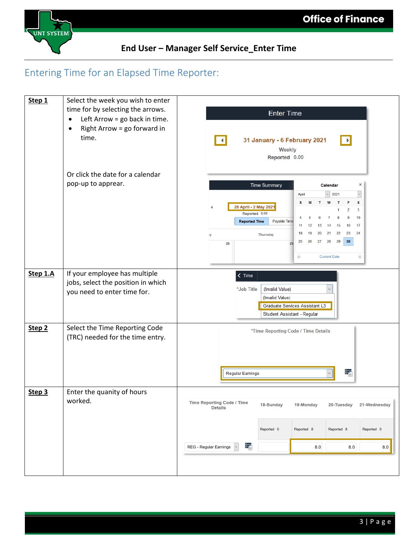

## Entering Time for an Elapsed Time Reporter:

| Step 1            | Select the week you wish to enter<br>time for by selecting the arrows.<br>Left Arrow = go back in time.<br>$\bullet$<br>Right Arrow = go forward in<br>٠<br>time. | <b>Enter Time</b><br>31 January - 6 February 2021<br>$\mathbb{R}$<br>Weekly<br>Reported 0.00                                                                                                                                                                                                                                                                                                                             |
|-------------------|-------------------------------------------------------------------------------------------------------------------------------------------------------------------|--------------------------------------------------------------------------------------------------------------------------------------------------------------------------------------------------------------------------------------------------------------------------------------------------------------------------------------------------------------------------------------------------------------------------|
|                   | Or click the date for a calendar<br>pop-up to apprear.                                                                                                            | <b>Time Summary</b><br>$\times$<br>Calendar<br>2021<br>April<br>W<br>s<br>s<br>M<br>26 April - 2 May 2021<br>3<br>2<br>Reported 0.00<br>10<br>6<br>9<br>8<br><b>Reported Time</b><br>Payable Time<br>17<br>15<br>16<br>11<br>12<br>13<br>14<br>22<br>23<br>24<br>18<br>19<br>20<br>21<br><b>Thursday</b><br>ıy<br>30 <sub>2</sub><br>27<br>28<br>29<br>25<br>26<br>28<br>29<br><b>Current Date</b><br>◉<br>$\circledast$ |
| Step 1.A          | If your employee has multiple<br>jobs, select the position in which<br>you need to enter time for.                                                                | $\zeta$ Time<br>*Job Title<br>(Invalid Value)<br>(Invalid Value)<br>Graduate Services Assistant L3<br>Student Assistant - Regular                                                                                                                                                                                                                                                                                        |
| Step <sub>2</sub> | Select the Time Reporting Code<br>(TRC) needed for the time entry.                                                                                                | *Time Reporting Code / Time Details<br>ŧ,<br>Regular Earnings                                                                                                                                                                                                                                                                                                                                                            |
| Step 3            | Enter the quanity of hours<br>worked.                                                                                                                             | <b>Time Reporting Code / Time</b><br>18-Sunday<br>21-Wednesday<br>19-Monday<br>20-Tuesday<br><b>Details</b><br>Reported 0<br>Reported 0<br>Reported 8<br>Reported 8<br>÷,<br>REG - Regular Earnings<br>8.0<br>8.0<br>8.0                                                                                                                                                                                                 |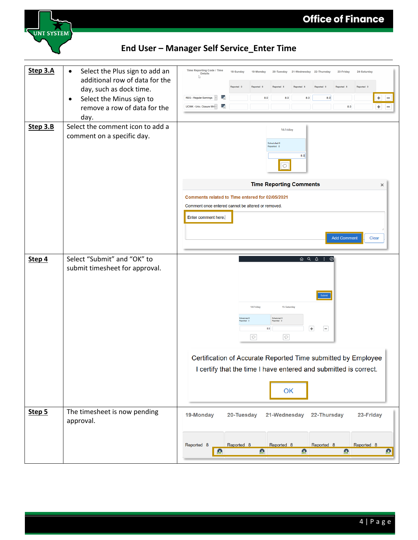

| Step 3.A | Select the Plus sign to add an<br>$\bullet$ | Time Reporting Code / Time<br>18-Sunday<br>19-Monday<br>20-Tuesday 21-Wednesday 22-Thursday<br>23-Friday<br>24-Saturday<br><b>Details</b><br>Р                                                                                                                                                                                                              |
|----------|---------------------------------------------|-------------------------------------------------------------------------------------------------------------------------------------------------------------------------------------------------------------------------------------------------------------------------------------------------------------------------------------------------------------|
|          | additional row of data for the              | Reported 0                                                                                                                                                                                                                                                                                                                                                  |
|          | day, such as dock time.                     | E.<br>REG - Regular Earnings<br>8.0<br>8.0                                                                                                                                                                                                                                                                                                                  |
|          | Select the Minus sign to<br>٠               | ÷<br>8.0<br>8.0<br>$\qquad \qquad -$<br>冡<br>UCWK - Univ. Closure Wri ~<br>8.0<br>÷<br>$\overline{\phantom{a}}$                                                                                                                                                                                                                                             |
|          | remove a row of data for the                |                                                                                                                                                                                                                                                                                                                                                             |
|          | day.                                        |                                                                                                                                                                                                                                                                                                                                                             |
| Step 3.B | Select the comment icon to add a            | 14-Friday                                                                                                                                                                                                                                                                                                                                                   |
|          | comment on a specific day.                  | Scheduled 0<br>Reported 0                                                                                                                                                                                                                                                                                                                                   |
|          |                                             | 8.0                                                                                                                                                                                                                                                                                                                                                         |
|          |                                             | $\circ$                                                                                                                                                                                                                                                                                                                                                     |
|          |                                             |                                                                                                                                                                                                                                                                                                                                                             |
|          |                                             | <b>Time Reporting Comments</b><br>×                                                                                                                                                                                                                                                                                                                         |
|          |                                             | Comments related to Time entered for 02/05/2021                                                                                                                                                                                                                                                                                                             |
|          |                                             | Comment once entered cannot be altered or removed.                                                                                                                                                                                                                                                                                                          |
|          |                                             | Enter comment here.                                                                                                                                                                                                                                                                                                                                         |
|          |                                             |                                                                                                                                                                                                                                                                                                                                                             |
|          |                                             | <b>Add Comment</b><br><b>Clear</b>                                                                                                                                                                                                                                                                                                                          |
|          |                                             |                                                                                                                                                                                                                                                                                                                                                             |
| Step 4   | Select "Submit" and "OK" to                 | $\begin{picture}(160,170) \put(0,0){\makebox(0,0){$a$}} \put(15,0){\makebox(0,0){$b$}} \put(15,0){\makebox(0,0){$b$}} \put(15,0){\makebox(0,0){$b$}} \put(15,0){\makebox(0,0){$c$}} \put(15,0){\makebox(0,0){$c$}} \put(15,0){\makebox(0,0){$c$}} \put(15,0){\makebox(0,0){$c$}} \put(15,0){\makebox(0,0){$c$}} \put(15,0){\makebox(0,0){$c$}} \put(15,0){$ |
|          | submit timesheet for approval.              |                                                                                                                                                                                                                                                                                                                                                             |
|          |                                             |                                                                                                                                                                                                                                                                                                                                                             |
|          |                                             |                                                                                                                                                                                                                                                                                                                                                             |
|          |                                             | Submit                                                                                                                                                                                                                                                                                                                                                      |
|          |                                             | 14-Friday<br>15-Saturday                                                                                                                                                                                                                                                                                                                                    |
|          |                                             | Scheduled 0<br>Scheduled 0<br>ported 0<br>Reported 0                                                                                                                                                                                                                                                                                                        |
|          |                                             | $+$<br>$\equiv$<br>8.0                                                                                                                                                                                                                                                                                                                                      |
|          |                                             | $\boxed{\circ}$<br>$\boxed{\circ}$                                                                                                                                                                                                                                                                                                                          |
|          |                                             |                                                                                                                                                                                                                                                                                                                                                             |
|          |                                             | Certification of Accurate Reported Time submitted by Employee                                                                                                                                                                                                                                                                                               |
|          |                                             | I certify that the time I have entered and submitted is correct.                                                                                                                                                                                                                                                                                            |
|          |                                             |                                                                                                                                                                                                                                                                                                                                                             |
|          |                                             | OK                                                                                                                                                                                                                                                                                                                                                          |
|          |                                             |                                                                                                                                                                                                                                                                                                                                                             |
| Step 5   | The timesheet is now pending                | 19-Monday<br>20-Tuesday<br>21-Wednesday<br>22-Thursday<br>23-Friday                                                                                                                                                                                                                                                                                         |
|          | approval.                                   |                                                                                                                                                                                                                                                                                                                                                             |
|          |                                             |                                                                                                                                                                                                                                                                                                                                                             |
|          |                                             | Reported 8<br>Reported 8<br>Reported 8<br>Reported 8<br>Reported 8                                                                                                                                                                                                                                                                                          |
|          |                                             | ■<br>盎<br>叠<br>盎<br>盘                                                                                                                                                                                                                                                                                                                                       |
|          |                                             |                                                                                                                                                                                                                                                                                                                                                             |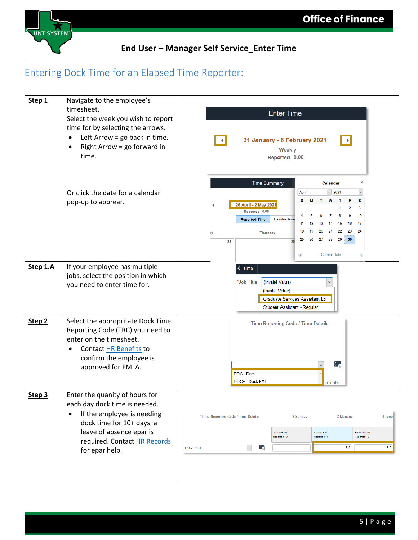

# Entering Dock Time for an Elapsed Time Reporter:

| Step 1            | Navigate to the employee's<br>timesheet.<br>Select the week you wish to report<br>time for by selecting the arrows.<br>Left Arrow = go back in time.<br>٠<br>Right Arrow = go forward in<br>$\bullet$<br>time.        | <b>Enter Time</b><br>31 January - 6 February 2021<br>⊪<br>Weekly<br>Reported 0.00                                                                                                                                                                                                                                                                                                                                           |
|-------------------|-----------------------------------------------------------------------------------------------------------------------------------------------------------------------------------------------------------------------|-----------------------------------------------------------------------------------------------------------------------------------------------------------------------------------------------------------------------------------------------------------------------------------------------------------------------------------------------------------------------------------------------------------------------------|
|                   | Or click the date for a calendar<br>pop-up to apprear.                                                                                                                                                                | <b>Time Summary</b><br>×<br>Calendar<br>April<br>2021<br>s<br>s<br>W<br>т<br>26 April - 2 May 2021<br>3<br>2<br>Reported 0.00<br>10<br>6<br>7<br>8<br>9<br>5<br>Payable Time<br><b>Reported Time</b><br>15<br>16<br>17<br>11<br>12<br>13<br>14<br>24<br>18<br>21<br>22<br>23<br>19<br>20<br><b>Thursday</b><br>ıy<br>29<br>30 <sub>2</sub><br>28<br>25<br>26<br>27<br>28<br>29<br><b>Current Date</b><br>◉<br>$\circledast$ |
| Step 1.A          | If your employee has multiple<br>jobs, select the position in which<br>you need to enter time for.                                                                                                                    | $\zeta$ Time<br>*Job Title<br>(Invalid Value)<br>(Invalid Value)<br>Graduate Services Assistant L3<br>Student Assistant - Regular                                                                                                                                                                                                                                                                                           |
| Step <sub>2</sub> | Select the appropritate Dock Time<br>Reporting Code (TRC) you need to<br>enter on the timesheet.<br>Contact HR Benefits to<br>confirm the employee is<br>approved for FMLA.                                           | *Time Reporting Code / Time Details<br>÷.<br>DOC - Dock<br>DOCF - Dock FML<br>hments                                                                                                                                                                                                                                                                                                                                        |
| Step 3            | Enter the quanity of hours for<br>each day dock time is needed.<br>If the employee is needing<br>$\bullet$<br>dock time for 10+ days, a<br>leave of absence epar is<br>required. Contact HR Records<br>for epar help. | 4-Tuesd<br>*Time Reporting Code / Time Details<br>2-Sunday<br>3-Monday<br>Scheduled 0<br>Scheduled 0<br>Scheduled 0<br>Reported 0<br>Reported 8<br>Reported 8<br>靠<br>8.0<br>$\check{~}$<br>8.0<br>DOC - Dock                                                                                                                                                                                                               |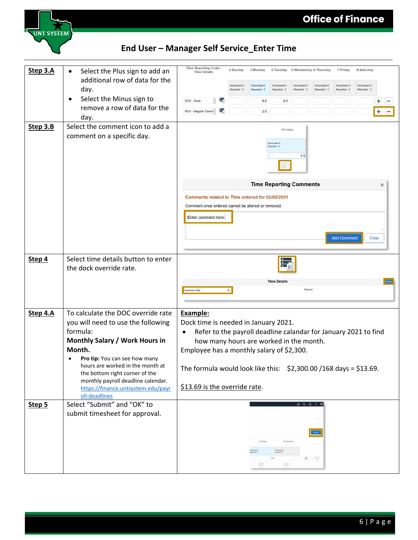

| Step 3.A<br>Step 3.B | Select the Plus sign to add an<br>$\bullet$<br>additional row of data for the<br>day.<br>Select the Minus sign to<br>remove a row of data for the<br>day.<br>Select the comment icon to add a<br>comment on a specific day.                                                                                                          | Time Reporting Code<br><b>Time Details</b><br>Ŧ<br>DOC - Dock<br>毫<br>REG - Regular Earnin ~                                                                                                                                                                                                                                           | 2-Sunday<br>Scheduled 0<br>Reported <sub>0</sub> | 3-Monday<br>Scheduled 0<br>Reported 6<br>6.0<br>2.0 | Scheduled 0<br>Reported 8<br>8.0<br>14-Friday<br>Scheduled 0<br>eported 0<br>$\circ$ | 4-Tuesday 5-Wednesday 6-Thursday<br>Scheduled 0<br>Reported <sub>0</sub><br>8.0                                                                                                                                                                                                                                                                                                                                        | Scheduled 0<br>Reported 0 | 7-Friday<br>Scheduled 0<br>Reported <sub>0</sub> | 8-Saturday<br>Scheduled 0<br>Reported 0 | ٠<br>٠   |
|----------------------|--------------------------------------------------------------------------------------------------------------------------------------------------------------------------------------------------------------------------------------------------------------------------------------------------------------------------------------|----------------------------------------------------------------------------------------------------------------------------------------------------------------------------------------------------------------------------------------------------------------------------------------------------------------------------------------|--------------------------------------------------|-----------------------------------------------------|--------------------------------------------------------------------------------------|------------------------------------------------------------------------------------------------------------------------------------------------------------------------------------------------------------------------------------------------------------------------------------------------------------------------------------------------------------------------------------------------------------------------|---------------------------|--------------------------------------------------|-----------------------------------------|----------|
|                      |                                                                                                                                                                                                                                                                                                                                      | Comments related to Time entered for 02/05/2021<br>Comment once entered cannot be altered or removed.<br>Enter comment here.                                                                                                                                                                                                           |                                                  |                                                     |                                                                                      | <b>Time Reporting Comments</b>                                                                                                                                                                                                                                                                                                                                                                                         |                           | <b>Add Comment</b>                               | Clear                                   | $\times$ |
| Step 4               | Select time details button to enter<br>the dock override rate.                                                                                                                                                                                                                                                                       | Override Rate                                                                                                                                                                                                                                                                                                                          | 園                                                |                                                     | <b>Time Details</b>                                                                  | <b>Source</b>                                                                                                                                                                                                                                                                                                                                                                                                          |                           |                                                  |                                         |          |
| Step 4.A             | To calculate the DOC override rate<br>you will need to use the following<br>formula:<br>Monthly Salary / Work Hours in<br>Month.<br>Pro tip: You can see how many<br>hours are worked in the month at<br>the bottom right corner of the<br>monthly payroll deadline calendar.<br>https://finance.untsystem.edu/payr<br>oll-deadlines | <b>Example:</b><br>Dock time is needed in January 2021.<br>Refer to the payroll deadline calandar for January 2021 to find<br>how many hours are worked in the month.<br>Employee has a monthly salary of \$2,300.<br>The formula would look like this: $\frac{2}{32}$ , 300.00 / 168 days = \$13.69.<br>\$13.69 is the override rate. |                                                  |                                                     |                                                                                      |                                                                                                                                                                                                                                                                                                                                                                                                                        |                           |                                                  |                                         |          |
| Step 5               | Select "Submit" and "OK" to<br>submit timesheet for approval.                                                                                                                                                                                                                                                                        |                                                                                                                                                                                                                                                                                                                                        |                                                  | 14-Friday<br>$\circ$                                | 15-Saturday<br>Scheduled I<br>Reported - C<br>8.0<br>$\boxed{\circ}$                 | $\begin{picture}(16,15) \put(0,0){\vector(1,0){10}} \put(15,0){\vector(1,0){10}} \put(15,0){\vector(1,0){10}} \put(15,0){\vector(1,0){10}} \put(15,0){\vector(1,0){10}} \put(15,0){\vector(1,0){10}} \put(15,0){\vector(1,0){10}} \put(15,0){\vector(1,0){10}} \put(15,0){\vector(1,0){10}} \put(15,0){\vector(1,0){10}} \put(15,0){\vector(1,0){10}} \put(15,0){\vector(1$<br>$\begin{array}{c}\n\hline\n\end{array}$ | Submit<br>$\Box$          |                                                  |                                         |          |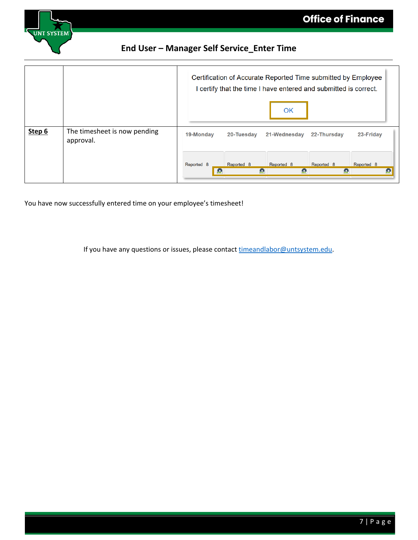

|        |                                           |                 | Certification of Accurate Reported Time submitted by Employee<br>I certify that the time I have entered and submitted is correct. |                 |                 |                 |
|--------|-------------------------------------------|-----------------|-----------------------------------------------------------------------------------------------------------------------------------|-----------------|-----------------|-----------------|
|        |                                           |                 |                                                                                                                                   | OK              |                 |                 |
| Step 6 | The timesheet is now pending<br>approval. | 19-Monday       | 20-Tuesday                                                                                                                        | 21-Wednesday    | 22-Thursday     | 23-Friday       |
|        |                                           | Reported 8<br>æ | Reported 8<br>盎                                                                                                                   | Reported 8<br>e | Reported 8<br>盎 | Reported 8<br>盎 |

You have now successfully entered time on your employee's timesheet!

If you have any questions or issues, please contact [timeandlabor@untsystem.edu.](mailto:timeandlabor@untsystem.edu)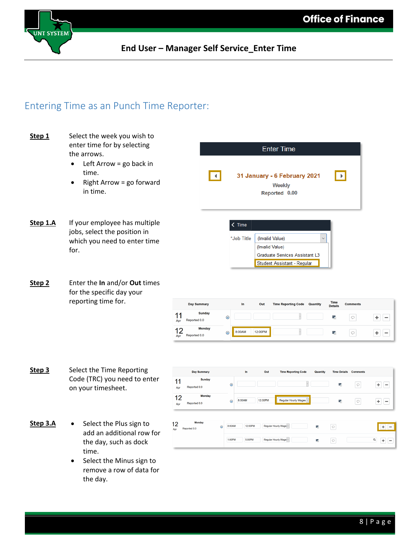

### Entering Time as an Punch Time Reporter:

- **Step 1** Select the week you wish to enter time for by selecting the arrows.
	- Left Arrow = go back in time.
	- Right Arrow = go forward in time.



(Invalid Value)

- **Step 1.A** If your employee has multiple jobs, select the position in which you need to enter time for.
- **Step 2** Enter the **In** and/or **Out** times for the specific day your reporting time for.

|           | Day Summary                   |         | In     | Out     | <b>Time Reporting Code</b> | Quantity | <b>Time</b><br><b>Details</b> | <b>Comments</b> |  |
|-----------|-------------------------------|---------|--------|---------|----------------------------|----------|-------------------------------|-----------------|--|
| 44<br>Apr | <b>Sunday</b><br>Reported 0.0 | $\odot$ |        |         |                            |          | ۳                             | ⊂               |  |
| 40<br>Apr | <b>Monday</b><br>Reported 0.0 | $\odot$ | 8:00AM | 12:00PM |                            |          | 等。                            | ⌒               |  |

Graduate Services Assistant L3 Student Assistant - Regular

- **Step 3** Select the Time Reporting **Day Summary** Out **Time Reporting Code** Time Details Comments Code (TRC) you need to enter Sunday  $11$  $\odot$ 晕  $\circ$  $+$  -Reported 0.0 on your timesheet. Apr **Monda**  $12$ 8:00AM 12:00PM Regular Hourly Wages  $\circ$  $+$   $\odot$ 霥 Reported 0.0 Apr **Monday** Step 3.A • Select the Plus sign to  $12$ 8:00AM 12:00PM  $\boxed{\circ}$  $+$   $-$ Rep  $0.0<sub>ba</sub>$ add an additional row for 1:00PM 5:00PM  $Q + -$ Regular Hourly Wage ~  $\boxed{\circ}$ the day, such as dock time.
	- Select the Minus sign to remove a row of data for the day.

8 | Page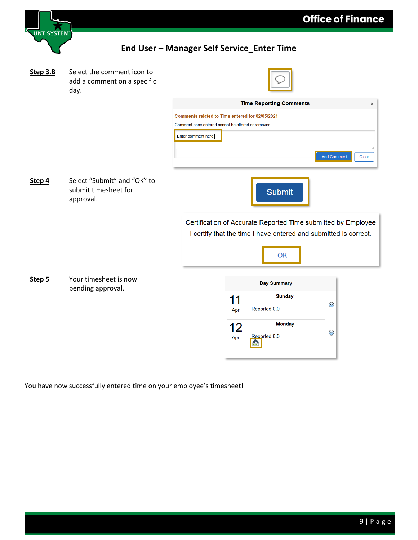

| <b>Step 3.B</b> | Select the comment icon to<br>add a comment on a specific<br>day. |                                                                                                                                   |
|-----------------|-------------------------------------------------------------------|-----------------------------------------------------------------------------------------------------------------------------------|
|                 |                                                                   | <b>Time Reporting Comments</b><br>$\times$                                                                                        |
|                 |                                                                   | Comments related to Time entered for 02/05/2021<br>Comment once entered cannot be altered or removed.                             |
|                 |                                                                   | Enter comment here.<br>Clear<br><b>Add Comment</b>                                                                                |
| Step 4          | Select "Submit" and "OK" to<br>submit timesheet for<br>approval.  | <b>Submit</b>                                                                                                                     |
|                 |                                                                   | Certification of Accurate Reported Time submitted by Employee<br>I certify that the time I have entered and submitted is correct. |
|                 |                                                                   | OK                                                                                                                                |
| Step 5          | Your timesheet is now<br>pending approval.                        | <b>Day Summary</b>                                                                                                                |
|                 |                                                                   | <b>Sunday</b><br>11<br>$\odot$<br>Reported 0.0<br>Apr                                                                             |
|                 |                                                                   | <b>Monday</b><br>12<br>$\odot$<br>Reported 8.0<br>Apr                                                                             |
|                 |                                                                   |                                                                                                                                   |

You have now successfully entered time on your employee's timesheet!

**Office of Finance**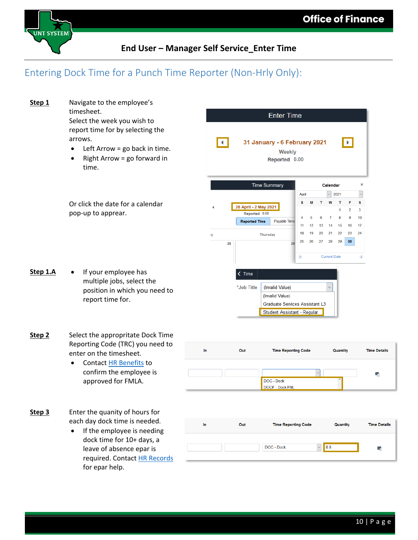

### Entering Dock Time for a Punch Time Reporter (Non-Hrly Only):

**Step 1** Navigate to the employee's timesheet. **Enter Time** Select the week you wish to report time for by selecting the arrows. 31 January - 6 February 2021  $\blacksquare$  $\blacktriangleright$ • Left Arrow = go back in time. Weekly Right Arrow  $=$  go forward in Reported 0.00 time. **Time Summary** Calendar  $\times$  $\overline{\phantom{0}}$  2021  $\vert$ April s  $\mathbf{w}$  $\mathbf T$ s. T Or click the date for a calendar M F 26 April - 2 May 2021  $\overline{3}$  $\overline{2}$ pop-up to apprear. Reported 0.00  $\overline{6}$  $\overline{7}$  $\overline{a}$  $\overline{9}$  $10$  $\overline{A}$ 5 **Reported Time** Payable Time  $11$  $12$  $13$  $14$  $15$  $16$  $17$  $21$ 22 23 24 18 19 20 **iy Thursday**  $30$ 25 26  $27$ 28 29 28 ⊙ **Current Date**  $^{\circ}$ **Step 1.A** • If your employee has  $\langle$  Time multiple jobs, select the \*Job Title (Invalid Value)  $\checkmark$ position in which you need to (Invalid Value) report time for. Graduate Services Assistant L3 Student Assistant - Regular **Step 2** Select the appropritate Dock Time Reporting Code (TRC) you need to Out **Time Reporting Code Time Details** In Quantity enter on the timesheet. • Contact [HR Benefits](mailto:hrbenefits@untsystem.edu) to confirm the employee is  $_{\small \vee}$ Е. approved for FMLA. DOC - Dock DOCF - Dock FML **Step 3** Enter the quanity of hours for each day dock time is needed. In Out **Time Reporting Code** Quantity **Time Details** • If the employee is needing dock time for 10+ days, a DOC - Dock  $\vee$  8.0 ŧ, leave of absence epar is required. Contact [HR Records](mailto:hrrecords@untsystem.edu) for epar help.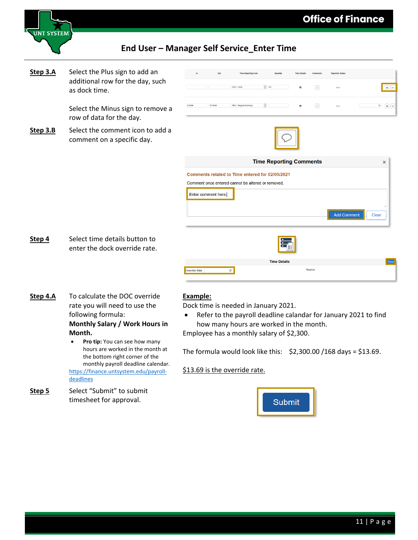



**Step 3.A** Select the Plus sign to add an additional row for the day, such as dock time.

> Select the Minus sign to remove a row of data for the day.

**Step 3.B** Select the comment icon to add a comment on a specific day.



- **Step 4** Select time details button to enter the dock override rate.
- **Time Details** Source Override Rate  $\ddot{\mathbf{v}}$
- **Step 4.A** To calculate the DOC override rate you will need to use the following formula: **Monthly Salary / Work Hours in Month.**

[deadlines](https://finance.untsystem.edu/payroll-deadlines)

**Step 5** Select "Submit" to submit

timesheet for approval.

Pro tip: You can see how many hours are worked in the month at the bottom right corner of the monthly payroll deadline calendar. [https://finance.untsystem.edu/payroll-](https://finance.untsystem.edu/payroll-deadlines)

#### **Example:**

Dock time is needed in January 2021.

• Refer to the payroll deadline calandar for January 2021 to find how many hours are worked in the month. Employee has a monthly salary of \$2,300.

The formula would look like this:  $\frac{1}{2}$ , 300.00 /168 days = \$13.69.

\$13.69 is the override rate.